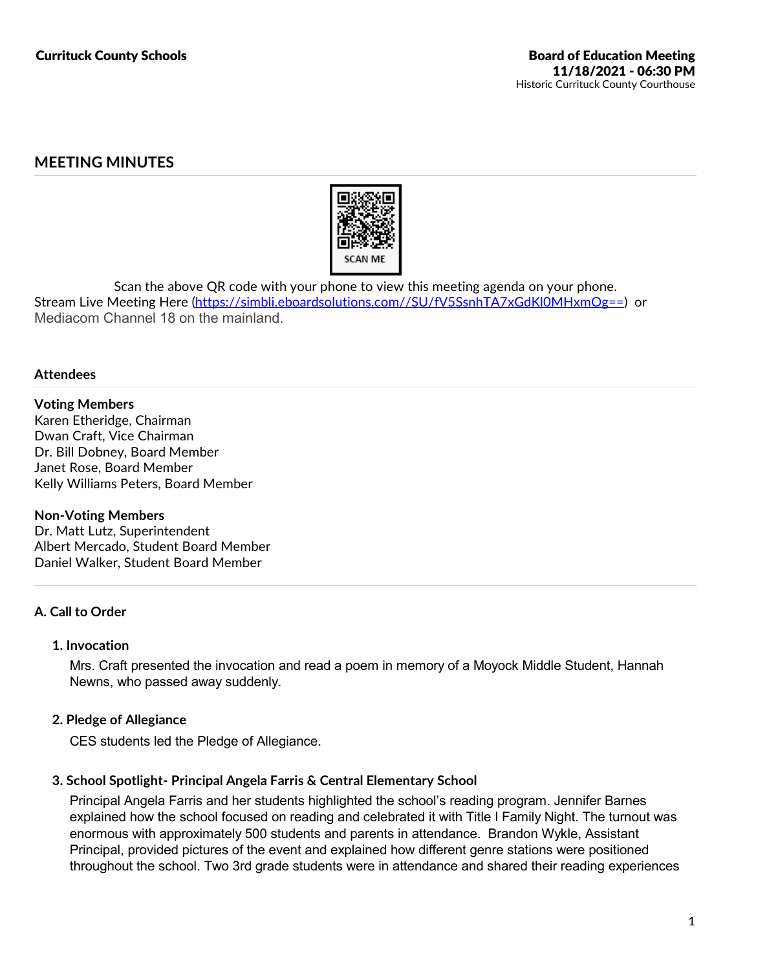# **MEETING MINUTES**



Scan the above QR code with your phone to view this meeting agenda on your phone.<br>Stream Live Meeting Here (https://simbli.eboardsolutions.com//SU/fV5SsnhTA7xGdKl0MHxmOg==) or Mediacom Channel 18 on the mainland.

### **Attendees**

## **Voting Members**

Karen Etheridge, Chairman Dwan Craft, Vice Chairman Dr. Bill Dobney, Board Member Janet Rose, Board Member Kelly Williams Peters, Board Member

#### **Non-Voting Members**

Dr. Matt Lutz, Superintendent Albert Mercado, Student Board Member Daniel Walker, Student Board Member

## **A. Call to Order**

## **1. Invocation**

Mrs. Craft presented the invocation and read a poem in memory of a Moyock Middle Student, Hannah Newns, who passed away suddenly.

## **2. Pledge of Allegiance**

CES students led the Pledge of Allegiance.

## **3. School Spotlight- Principal Angela Farris & Central Elementary School**

Principal Angela Farris and her students highlighted the school's reading program. Jennifer Barnes explained how the school focused on reading and celebrated it with Title I Family Night. The turnout was enormous with approximately 500 students and parents in attendance. Brandon Wykle, Assistant Principal, provided pictures of the event and explained how different genre stations were positioned throughout the school. Two 3rd grade students were in attendance and shared their reading experiences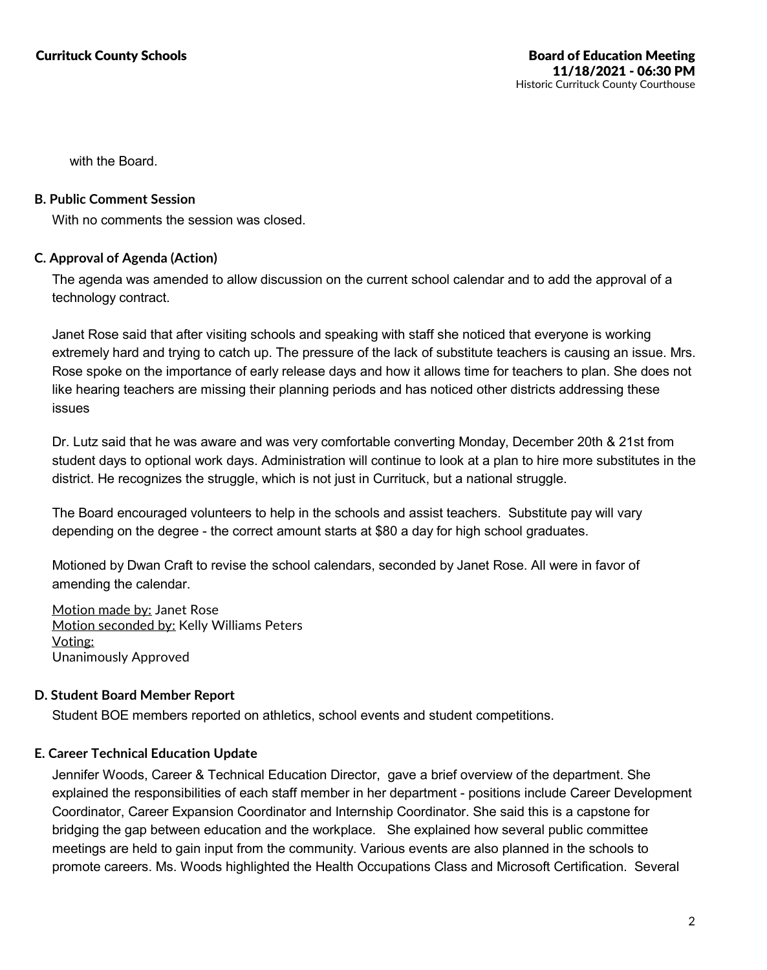with the Board.

## **B. Public Comment Session**

With no comments the session was closed.

## **C. Approval of Agenda (Action)**

The agenda was amended to allow discussion on the current school calendar and to add the approval of a technology contract.

Janet Rose said that after visiting schools and speaking with staff she noticed that everyone is working extremely hard and trying to catch up. The pressure of the lack of substitute teachers is causing an issue. Mrs. Rose spoke on the importance of early release days and how it allows time for teachers to plan. She does not like hearing teachers are missing their planning periods and has noticed other districts addressing these issues

Dr. Lutz said that he was aware and was very comfortable converting Monday, December 20th & 21st from student days to optional work days. Administration will continue to look at a plan to hire more substitutes in the district. He recognizes the struggle, which is not just in Currituck, but a national struggle.

The Board encouraged volunteers to help in the schools and assist teachers. Substitute pay will vary depending on the degree - the correct amount starts at \$80 a day for high school graduates.

Motioned by Dwan Craft to revise the school calendars, seconded by Janet Rose. All were in favor of amending the calendar.

Motion made by: Janet Rose Motion seconded by: Kelly Williams Peters Voting: Unanimously Approved

## **D. Student Board Member Report**

Student BOE members reported on athletics, school events and student competitions.

## **E. Career Technical Education Update**

Jennifer Woods, Career & Technical Education Director, gave a brief overview of the department. She explained the responsibilities of each staff member in her department - positions include Career Development Coordinator, Career Expansion Coordinator and Internship Coordinator. She said this is a capstone for bridging the gap between education and the workplace. She explained how several public committee meetings are held to gain input from the community. Various events are also planned in the schools to promote careers. Ms. Woods highlighted the Health Occupations Class and Microsoft Certification. Several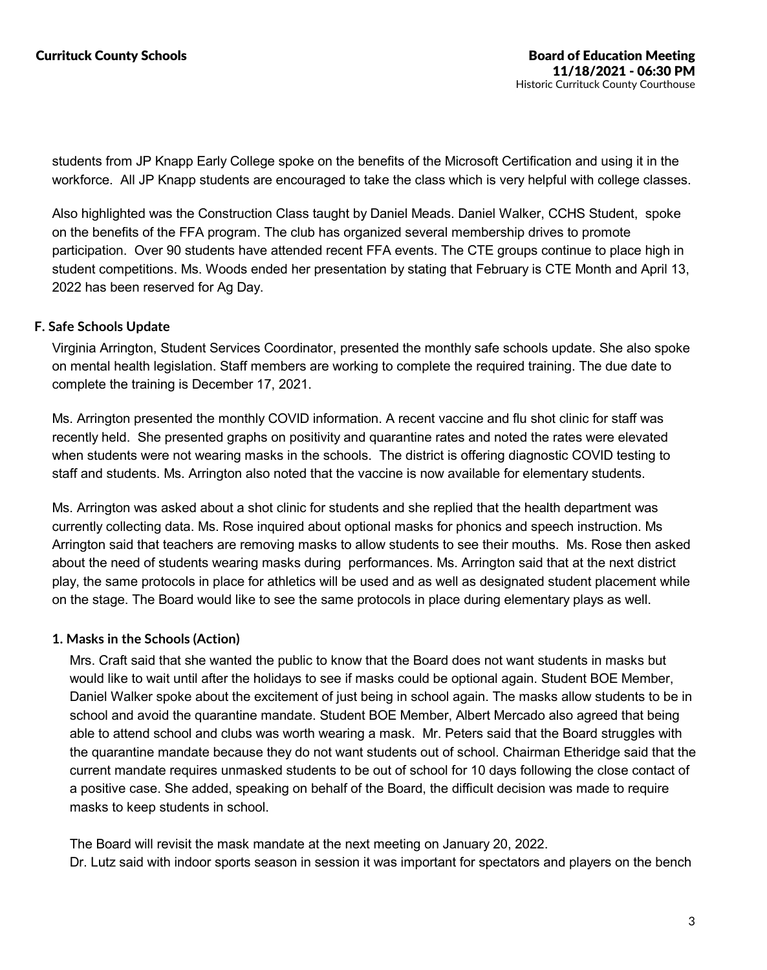students from JP Knapp Early College spoke on the benefits of the Microsoft Certification and using it in the workforce. All JP Knapp students are encouraged to take the class which is very helpful with college classes.

Also highlighted was the Construction Class taught by Daniel Meads. Daniel Walker, CCHS Student, spoke on the benefits of the FFA program. The club has organized several membership drives to promote participation. Over 90 students have attended recent FFA events. The CTE groups continue to place high in student competitions. Ms. Woods ended her presentation by stating that February is CTE Month and April 13, 2022 has been reserved for Ag Day.

## **F. Safe Schools Update**

Virginia Arrington, Student Services Coordinator, presented the monthly safe schools update. She also spoke on mental health legislation. Staff members are working to complete the required training. The due date to complete the training is December 17, 2021.

Ms. Arrington presented the monthly COVID information. A recent vaccine and flu shot clinic for staff was recently held. She presented graphs on positivity and quarantine rates and noted the rates were elevated when students were not wearing masks in the schools. The district is offering diagnostic COVID testing to staff and students. Ms. Arrington also noted that the vaccine is now available for elementary students.

Ms. Arrington was asked about a shot clinic for students and she replied that the health department was currently collecting data. Ms. Rose inquired about optional masks for phonics and speech instruction. Ms Arrington said that teachers are removing masks to allow students to see their mouths. Ms. Rose then asked about the need of students wearing masks during performances. Ms. Arrington said that at the next district play, the same protocols in place for athletics will be used and as well as designated student placement while on the stage. The Board would like to see the same protocols in place during elementary plays as well.

## **1. Masks in the Schools (Action)**

Mrs. Craft said that she wanted the public to know that the Board does not want students in masks but would like to wait until after the holidays to see if masks could be optional again. Student BOE Member, Daniel Walker spoke about the excitement of just being in school again. The masks allow students to be in school and avoid the quarantine mandate. Student BOE Member, Albert Mercado also agreed that being able to attend school and clubs was worth wearing a mask. Mr. Peters said that the Board struggles with the quarantine mandate because they do not want students out of school. Chairman Etheridge said that the current mandate requires unmasked students to be out of school for 10 days following the close contact of a positive case. She added, speaking on behalf of the Board, the difficult decision was made to require masks to keep students in school.

The Board will revisit the mask mandate at the next meeting on January 20, 2022. Dr. Lutz said with indoor sports season in session it was important for spectators and players on the bench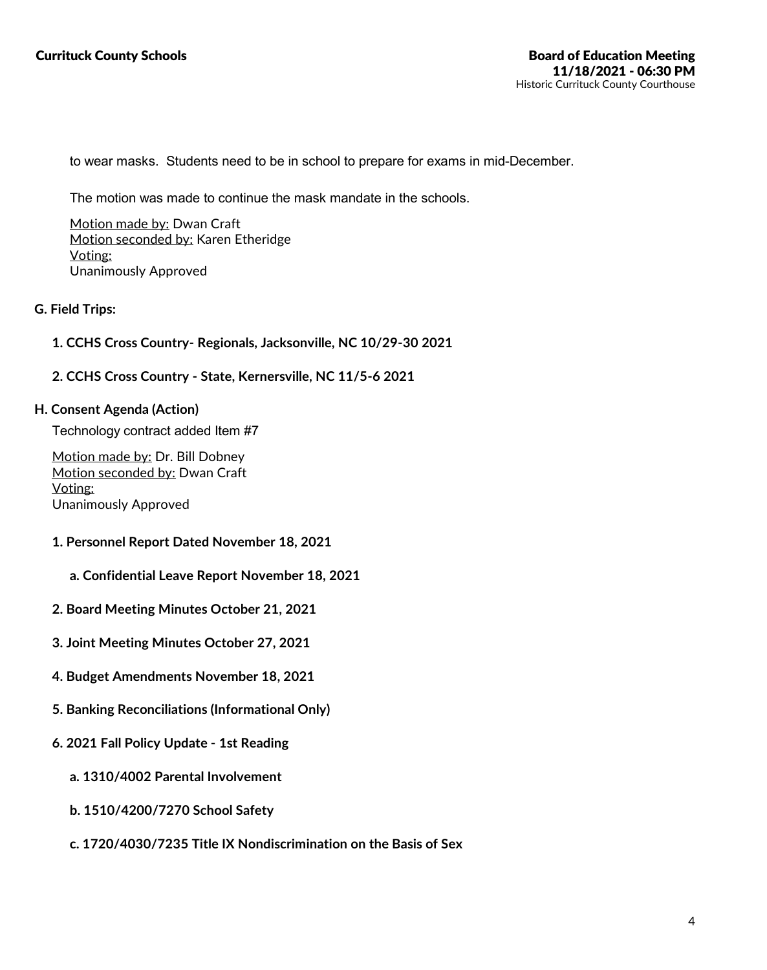to wear masks. Students need to be in school to prepare for exams in mid-December.

The motion was made to continue the mask mandate in the schools.

Motion made by: Dwan Craft Motion seconded by: Karen Etheridge Voting: Unanimously Approved

### **G. Field Trips:**

### **1. CCHS Cross Country- Regionals, Jacksonville, NC 10/29-30 2021**

### **2. CCHS Cross Country - State, Kernersville, NC 11/5-6 2021**

#### **H. Consent Agenda (Action)**

Technology contract added Item #7

Motion made by: Dr. Bill Dobney Motion seconded by: Dwan Craft Voting: Unanimously Approved

- **1. Personnel Report Dated November 18, 2021**
	- **a. Confidential Leave Report November 18, 2021**
- **2. Board Meeting Minutes October 21, 2021**
- **3. Joint Meeting Minutes October 27, 2021**
- **4. Budget Amendments November 18, 2021**
- **5. Banking Reconciliations (Informational Only)**
- **6. 2021 Fall Policy Update -1st Reading**
	- **a. 1310/4002 Parental Involvement**
	- **b. 1510/4200/7270 School Safety**
	- **c. 1720/4030/7235 Title IX Nondiscrimination on the Basis of Sex**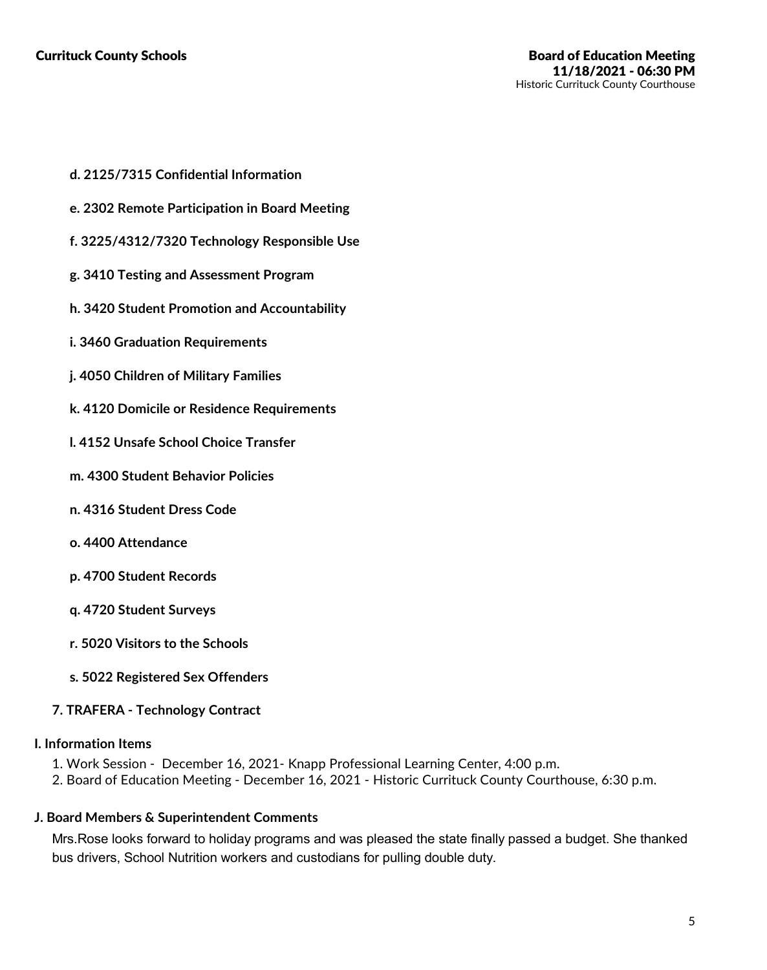- **d. 2125/7315 Confidential Information**
- **e. 2302 Remote Participation in Board Meeting**
- **f. 3225/4312/7320 Technology Responsible Use**
- **g. 3410 Testing and Assessment Program**
- **h. 3420 Student Promotion and Accountability**
- **i. 3460 Graduation Requirements**
- **j. 4050 Children of Military Families**
- **k. 4120 Domicile or Residence Requirements**
- **l. 4152 Unsafe School Choice Transfer**
- **m. 4300 Student Behavior Policies**
- **n. 4316 Student Dress Code**
- **o. 4400 Attendance**
- **p. 4700 Student Records**
- **q. 4720 Student Surveys**
- **r. 5020 Visitors to the Schools**
- **s. 5022 Registered Sex Offenders**

## **7. TRAFERA - Technology Contract**

#### **I. Information Items**

- 1. Work Session December 16, 2021- Knapp Professional Learning Center, 4:00 p.m.
- 2. Board of Education Meeting December 16, 2021 Historic Currituck County Courthouse, 6:30 p.m.

#### **J. Board Members & Superintendent Comments**

Mrs.Rose looks forward to holiday programs and was pleased the state finally passed a budget. She thanked bus drivers, School Nutrition workers and custodians for pulling double duty.